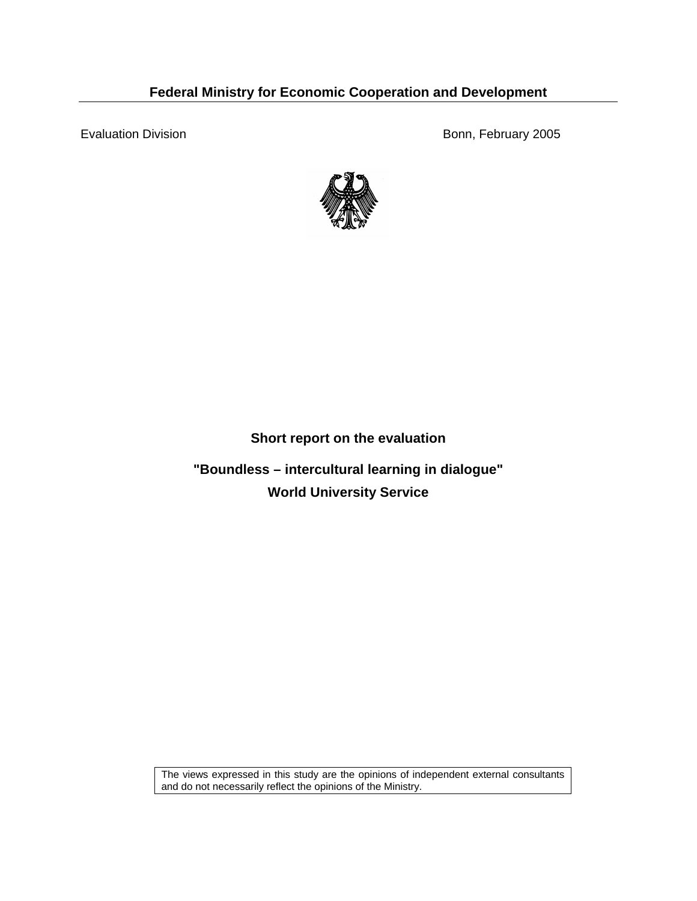### **Federal Ministry for Economic Cooperation and Development**

Evaluation Division **Bonn**, February 2005



#### **Short report on the evaluation**

**"Boundless – intercultural learning in dialogue" World University Service** 

The views expressed in this study are the opinions of independent external consultants and do not necessarily reflect the opinions of the Ministry.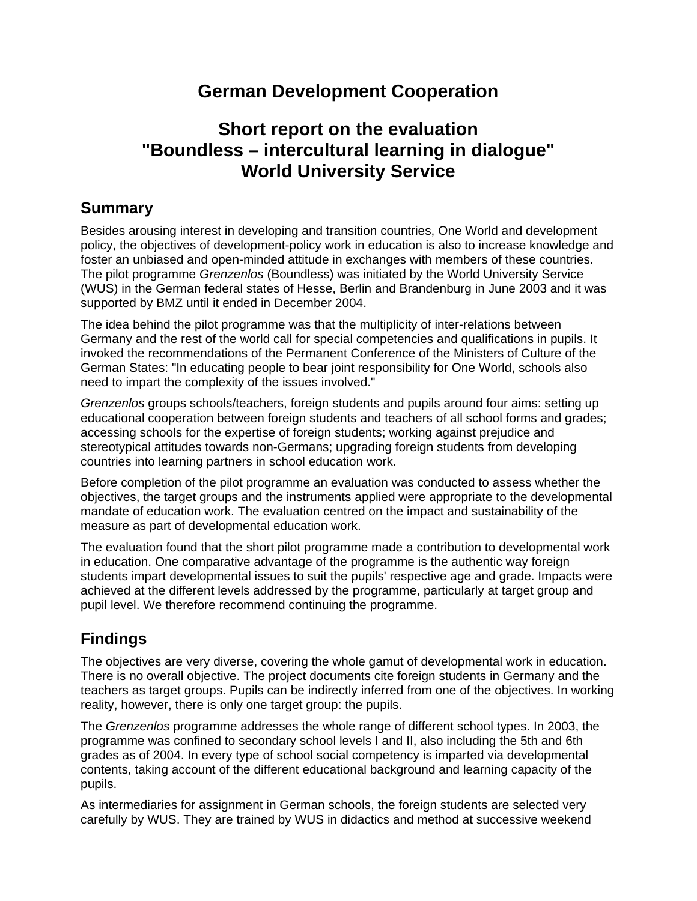# **German Development Cooperation**

# **Short report on the evaluation "Boundless – intercultural learning in dialogue" World University Service**

### **Summary**

Besides arousing interest in developing and transition countries, One World and development policy, the objectives of development-policy work in education is also to increase knowledge and foster an unbiased and open-minded attitude in exchanges with members of these countries. The pilot programme *Grenzenlos* (Boundless) was initiated by the World University Service (WUS) in the German federal states of Hesse, Berlin and Brandenburg in June 2003 and it was supported by BMZ until it ended in December 2004.

The idea behind the pilot programme was that the multiplicity of inter-relations between Germany and the rest of the world call for special competencies and qualifications in pupils. It invoked the recommendations of the Permanent Conference of the Ministers of Culture of the German States: "In educating people to bear joint responsibility for One World, schools also need to impart the complexity of the issues involved."

*Grenzenlos* groups schools/teachers, foreign students and pupils around four aims: setting up educational cooperation between foreign students and teachers of all school forms and grades; accessing schools for the expertise of foreign students; working against prejudice and stereotypical attitudes towards non-Germans; upgrading foreign students from developing countries into learning partners in school education work.

Before completion of the pilot programme an evaluation was conducted to assess whether the objectives, the target groups and the instruments applied were appropriate to the developmental mandate of education work. The evaluation centred on the impact and sustainability of the measure as part of developmental education work.

The evaluation found that the short pilot programme made a contribution to developmental work in education. One comparative advantage of the programme is the authentic way foreign students impart developmental issues to suit the pupils' respective age and grade. Impacts were achieved at the different levels addressed by the programme, particularly at target group and pupil level. We therefore recommend continuing the programme.

## **Findings**

The objectives are very diverse, covering the whole gamut of developmental work in education. There is no overall objective. The project documents cite foreign students in Germany and the teachers as target groups. Pupils can be indirectly inferred from one of the objectives. In working reality, however, there is only one target group: the pupils.

The *Grenzenlos* programme addresses the whole range of different school types. In 2003, the programme was confined to secondary school levels I and II, also including the 5th and 6th grades as of 2004. In every type of school social competency is imparted via developmental contents, taking account of the different educational background and learning capacity of the pupils.

As intermediaries for assignment in German schools, the foreign students are selected very carefully by WUS. They are trained by WUS in didactics and method at successive weekend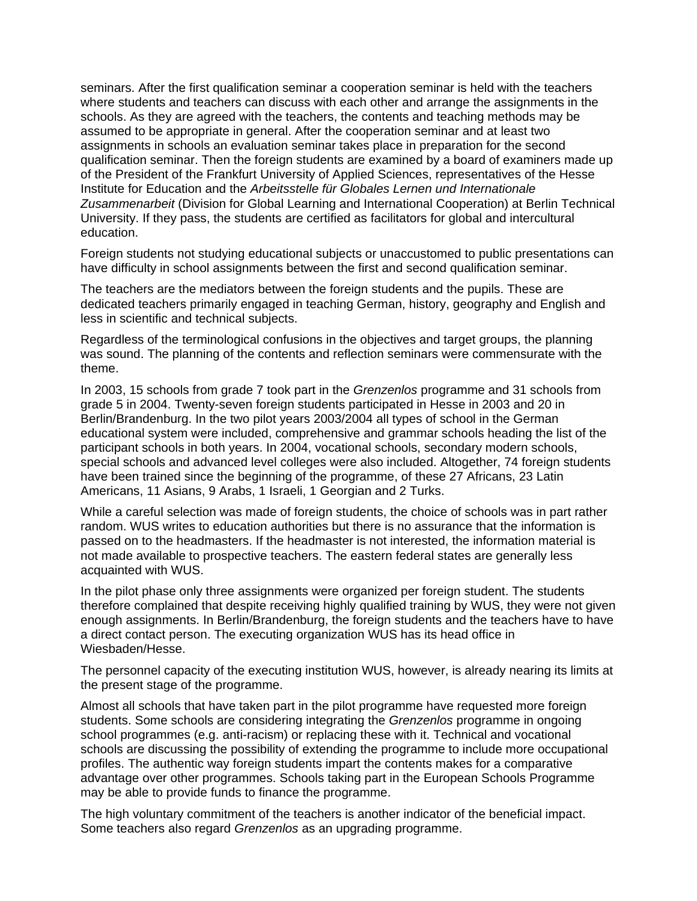seminars. After the first qualification seminar a cooperation seminar is held with the teachers where students and teachers can discuss with each other and arrange the assignments in the schools. As they are agreed with the teachers, the contents and teaching methods may be assumed to be appropriate in general. After the cooperation seminar and at least two assignments in schools an evaluation seminar takes place in preparation for the second qualification seminar. Then the foreign students are examined by a board of examiners made up of the President of the Frankfurt University of Applied Sciences, representatives of the Hesse Institute for Education and the *Arbeitsstelle für Globales Lernen und Internationale Zusammenarbeit* (Division for Global Learning and International Cooperation) at Berlin Technical University. If they pass, the students are certified as facilitators for global and intercultural education.

Foreign students not studying educational subjects or unaccustomed to public presentations can have difficulty in school assignments between the first and second qualification seminar.

The teachers are the mediators between the foreign students and the pupils. These are dedicated teachers primarily engaged in teaching German, history, geography and English and less in scientific and technical subjects.

Regardless of the terminological confusions in the objectives and target groups, the planning was sound. The planning of the contents and reflection seminars were commensurate with the theme.

In 2003, 15 schools from grade 7 took part in the *Grenzenlos* programme and 31 schools from grade 5 in 2004. Twenty-seven foreign students participated in Hesse in 2003 and 20 in Berlin/Brandenburg. In the two pilot years 2003/2004 all types of school in the German educational system were included, comprehensive and grammar schools heading the list of the participant schools in both years. In 2004, vocational schools, secondary modern schools, special schools and advanced level colleges were also included. Altogether, 74 foreign students have been trained since the beginning of the programme, of these 27 Africans, 23 Latin Americans, 11 Asians, 9 Arabs, 1 Israeli, 1 Georgian and 2 Turks.

While a careful selection was made of foreign students, the choice of schools was in part rather random. WUS writes to education authorities but there is no assurance that the information is passed on to the headmasters. If the headmaster is not interested, the information material is not made available to prospective teachers. The eastern federal states are generally less acquainted with WUS.

In the pilot phase only three assignments were organized per foreign student. The students therefore complained that despite receiving highly qualified training by WUS, they were not given enough assignments. In Berlin/Brandenburg, the foreign students and the teachers have to have a direct contact person. The executing organization WUS has its head office in Wiesbaden/Hesse.

The personnel capacity of the executing institution WUS, however, is already nearing its limits at the present stage of the programme.

Almost all schools that have taken part in the pilot programme have requested more foreign students. Some schools are considering integrating the *Grenzenlos* programme in ongoing school programmes (e.g. anti-racism) or replacing these with it. Technical and vocational schools are discussing the possibility of extending the programme to include more occupational profiles. The authentic way foreign students impart the contents makes for a comparative advantage over other programmes. Schools taking part in the European Schools Programme may be able to provide funds to finance the programme.

The high voluntary commitment of the teachers is another indicator of the beneficial impact. Some teachers also regard *Grenzenlos* as an upgrading programme.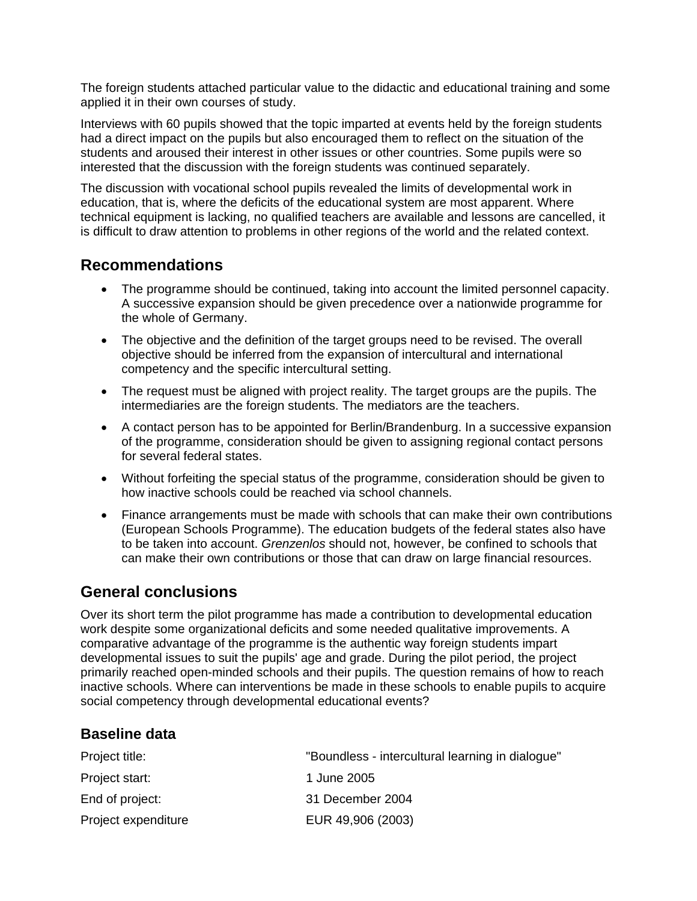The foreign students attached particular value to the didactic and educational training and some applied it in their own courses of study.

Interviews with 60 pupils showed that the topic imparted at events held by the foreign students had a direct impact on the pupils but also encouraged them to reflect on the situation of the students and aroused their interest in other issues or other countries. Some pupils were so interested that the discussion with the foreign students was continued separately.

The discussion with vocational school pupils revealed the limits of developmental work in education, that is, where the deficits of the educational system are most apparent. Where technical equipment is lacking, no qualified teachers are available and lessons are cancelled, it is difficult to draw attention to problems in other regions of the world and the related context.

### **Recommendations**

- The programme should be continued, taking into account the limited personnel capacity. A successive expansion should be given precedence over a nationwide programme for the whole of Germany.
- The objective and the definition of the target groups need to be revised. The overall objective should be inferred from the expansion of intercultural and international competency and the specific intercultural setting.
- The request must be aligned with project reality. The target groups are the pupils. The intermediaries are the foreign students. The mediators are the teachers.
- A contact person has to be appointed for Berlin/Brandenburg. In a successive expansion of the programme, consideration should be given to assigning regional contact persons for several federal states.
- Without forfeiting the special status of the programme, consideration should be given to how inactive schools could be reached via school channels.
- Finance arrangements must be made with schools that can make their own contributions (European Schools Programme). The education budgets of the federal states also have to be taken into account. *Grenzenlos* should not, however, be confined to schools that can make their own contributions or those that can draw on large financial resources.

### **General conclusions**

Over its short term the pilot programme has made a contribution to developmental education work despite some organizational deficits and some needed qualitative improvements. A comparative advantage of the programme is the authentic way foreign students impart developmental issues to suit the pupils' age and grade. During the pilot period, the project primarily reached open-minded schools and their pupils. The question remains of how to reach inactive schools. Where can interventions be made in these schools to enable pupils to acquire social competency through developmental educational events?

#### **Baseline data**

| Project title:      | "Boundless - intercultural learning in dialogue" |
|---------------------|--------------------------------------------------|
| Project start:      | 1 June 2005                                      |
| End of project:     | 31 December 2004                                 |
| Project expenditure | EUR 49,906 (2003)                                |